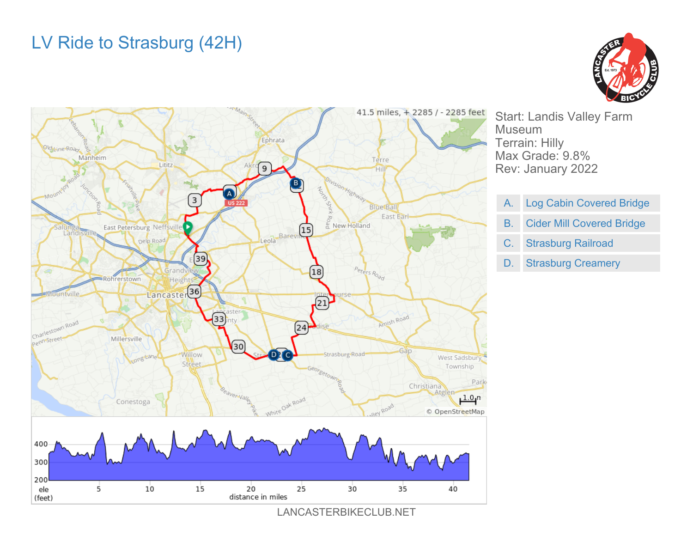## LV Ride to Strasburg (42H)





LANCASTERBIKECLUB.NET

Start: Landis Valley Farm Museum Terrain: Hilly Max Grade: 9.8% Rev: January 2022

- A. Log Cabin Covered Bridge
- B. Cider Mill Covered Bridge
- C. Strasburg Railroad
- D. Strasburg Creamery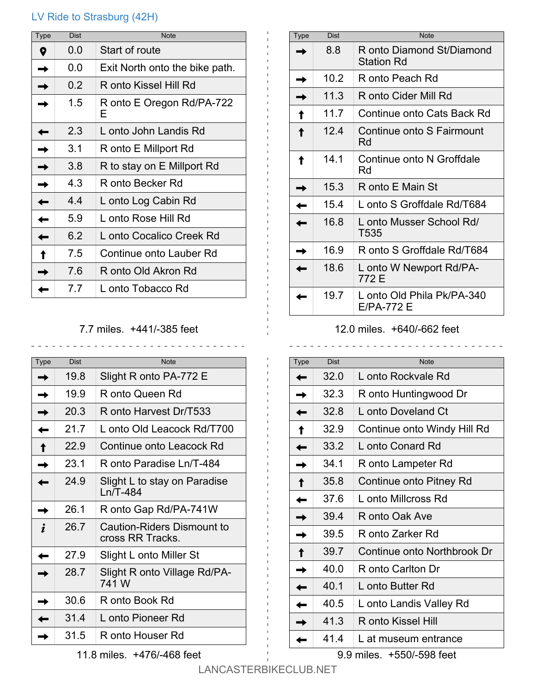## LV Ride to Strasburg (42H)

| Type | <b>Dist</b> | <b>Note</b>                    |
|------|-------------|--------------------------------|
| Q    | 0.0         | Start of route                 |
|      | 0.0         | Exit North onto the bike path. |
|      | 0.2         | R onto Kissel Hill Rd          |
|      | 1.5         | R onto E Oregon Rd/PA-722<br>F |
|      | 2.3         | L onto John Landis Rd          |
|      | 3.1         | R onto E Millport Rd           |
|      | 3.8         | R to stay on E Millport Rd     |
|      | 4.3         | R onto Becker Rd               |
|      | 4.4         | L onto Log Cabin Rd            |
|      | 5.9         | L onto Rose Hill Rd            |
|      | 6.2         | L onto Cocalico Creek Rd       |
|      | 7.5         | Continue onto Lauber Rd        |
|      | 7.6         | R onto Old Akron Rd            |
|      | 77          | L onto Tobacco Rd              |

## 7.7 miles. +441/-385 feet

| Type | <b>Dist</b> | <b>Note</b>                                    |
|------|-------------|------------------------------------------------|
|      | 19.8        | Slight R onto PA-772 E                         |
|      | 19.9        | R onto Queen Rd                                |
|      | 20.3        | R onto Harvest Dr/T533                         |
|      | 21.7        | L onto Old Leacock Rd/T700                     |
|      | 22.9        | Continue onto Leacock Rd                       |
|      | 23.1        | R onto Paradise Ln/T-484                       |
|      | 24.9        | Slight L to stay on Paradise<br>$Ln/T-484$     |
|      | 26.1        | R onto Gap Rd/PA-741W                          |
|      | 26.7        | Caution-Riders Dismount to<br>cross RR Tracks. |
|      | 27.9        | Slight L onto Miller St                        |
|      | 28.7        | Slight R onto Village Rd/PA-<br>741 W          |
|      | 30.6        | R onto Book Rd                                 |
|      | 31.4        | L onto Pioneer Rd                              |
|      | 31.5        | R onto Houser Rd                               |

Type Dist Note 8.8 R onto Diamond St/Diamond Station Rd 10.2 R onto Peach Rd 11.3 R onto Cider Mill Rd 11.7 Continue onto Cats Back Rd 12.4 Continue onto S Fairmount Rd 14.1 Continue onto N Groffdale Rd 15.3  $\parallel$  R onto E Main St 15.4 | L onto S Groffdale Rd/T684 16.8 | L onto Musser School Rd/ T535 16.9 | R onto S Groffdale Rd/T684 18.6 | L onto W Newport Rd/PA-772 E 19.7 | L onto Old Phila Pk/PA-340 E/PA-772 E

## 12.0 miles. +640/-662 feet

| Type | <b>Dist</b> | <b>Note</b>                 |
|------|-------------|-----------------------------|
|      | 32.0        | L onto Rockvale Rd          |
|      | 32.3        | R onto Huntingwood Dr       |
|      | 32.8        | L onto Doveland Ct          |
|      | 32.9        | Continue onto Windy Hill Rd |
|      | 33.2        | L onto Conard Rd            |
|      | 34.1        | R onto Lampeter Rd          |
|      | 35.8        | Continue onto Pitney Rd     |
|      | 37.6        | L onto Millcross Rd         |
|      | 39.4        | R onto Oak Ave              |
|      | 39.5        | R onto Zarker Rd            |
|      | 39.7        | Continue onto Northbrook Dr |
|      | 40.0        | R onto Carlton Dr           |
|      | 40.1        | L onto Butter Rd            |
|      | 40.5        | L onto Landis Valley Rd     |
|      | 41.3        | R onto Kissel Hill          |
|      | 41.4        | L at museum entrance        |

11.8 miles. +476/-468 feet

9.9 miles. +550/-598 feet

LANCASTERBIKECLUB.NET